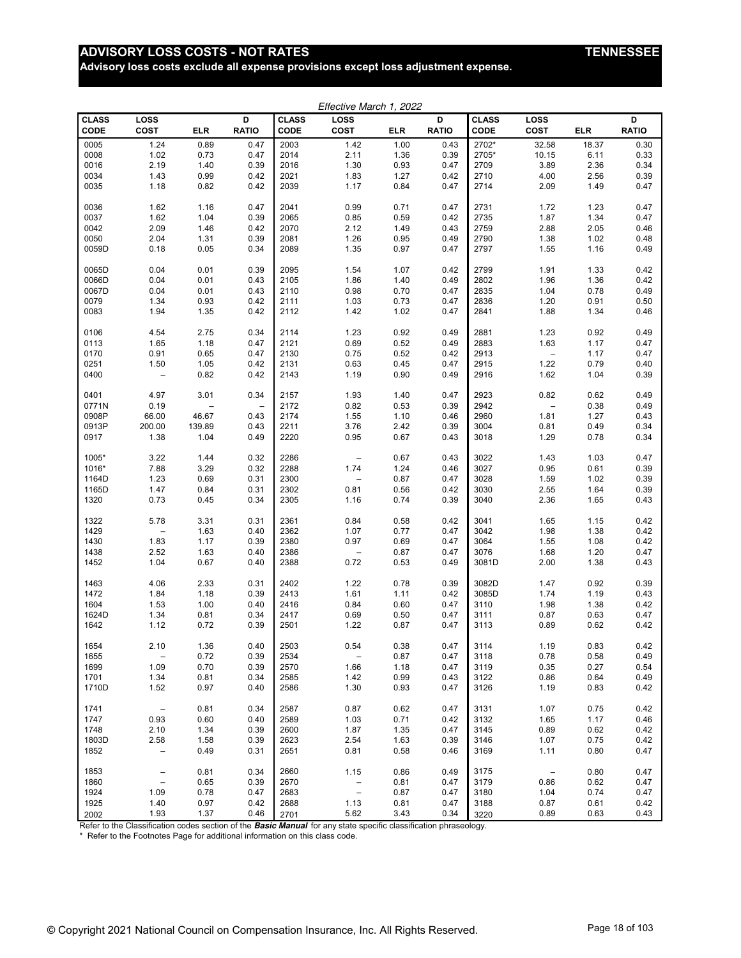# ADVISORY LOSS COSTS - NOT RATES **TENNESSEE**

**Advisory loss costs exclude all expense provisions except loss adjustment expense.**

| Effective March 1, 2022 |                                 |            |                          |                             |                          |            |                   |                      |                          |            |                   |
|-------------------------|---------------------------------|------------|--------------------------|-----------------------------|--------------------------|------------|-------------------|----------------------|--------------------------|------------|-------------------|
| <b>CLASS</b><br>CODE    | LOSS<br>COST                    | <b>ELR</b> | D<br><b>RATIO</b>        | <b>CLASS</b><br><b>CODE</b> | LOSS<br>COST             | <b>ELR</b> | D<br><b>RATIO</b> | <b>CLASS</b><br>CODE | <b>LOSS</b><br>COST      | <b>ELR</b> | D<br><b>RATIO</b> |
| 0005                    | 1.24                            | 0.89       | 0.47                     | 2003                        | 1.42                     | 1.00       | 0.43              | 2702*                | 32.58                    | 18.37      | 0.30              |
| 0008                    | 1.02                            | 0.73       | 0.47                     | 2014                        | 2.11                     | 1.36       | 0.39              | 2705*                | 10.15                    | 6.11       | 0.33              |
| 0016                    | 2.19                            | 1.40       | 0.39                     | 2016                        | 1.30                     | 0.93       | 0.47              | 2709                 | 3.89                     | 2.36       | 0.34              |
| 0034                    | 1.43                            | 0.99       | 0.42                     | 2021                        | 1.83                     | 1.27       | 0.42              | 2710                 | 4.00                     | 2.56       | 0.39              |
| 0035                    | 1.18                            | 0.82       | 0.42                     | 2039                        | 1.17                     | 0.84       | 0.47              | 2714                 | 2.09                     | 1.49       | 0.47              |
| 0036                    | 1.62                            | 1.16       | 0.47                     | 2041                        | 0.99                     | 0.71       | 0.47              | 2731                 | 1.72                     | 1.23       | 0.47              |
| 0037                    | 1.62                            | 1.04       | 0.39                     | 2065                        | 0.85                     | 0.59       | 0.42              | 2735                 | 1.87                     | 1.34       | 0.47              |
| 0042                    | 2.09                            | 1.46       | 0.42                     | 2070                        | 2.12                     | 1.49       | 0.43              | 2759                 | 2.88                     | 2.05       | 0.46              |
| 0050                    | 2.04                            | 1.31       | 0.39                     | 2081                        | 1.26                     | 0.95       | 0.49              | 2790                 | 1.38                     | 1.02       | 0.48              |
| 0059D                   | 0.18                            | 0.05       | 0.34                     | 2089                        | 1.35                     | 0.97       | 0.47              | 2797                 | 1.55                     | 1.16       | 0.49              |
|                         |                                 |            |                          |                             |                          |            |                   |                      |                          |            |                   |
| 0065D                   | 0.04                            | 0.01       | 0.39                     | 2095                        | 1.54                     | 1.07       | 0.42              | 2799                 | 1.91                     | 1.33       | 0.42              |
| 0066D                   | 0.04                            | 0.01       | 0.43                     | 2105                        | 1.86                     | 1.40       | 0.49              | 2802                 | 1.96                     | 1.36       | 0.42              |
| 0067D                   | 0.04                            | 0.01       | 0.43                     | 2110                        | 0.98                     | 0.70       | 0.47              | 2835                 | 1.04                     | 0.78       | 0.49              |
| 0079                    | 1.34                            | 0.93       | 0.42                     | 2111                        | 1.03                     | 0.73       | 0.47              | 2836                 | 1.20                     | 0.91       | 0.50              |
| 0083                    | 1.94                            | 1.35       | 0.42                     | 2112                        | 1.42                     | 1.02       | 0.47              | 2841                 | 1.88                     | 1.34       | 0.46              |
| 0106                    | 4.54                            | 2.75       | 0.34                     | 2114                        | 1.23                     | 0.92       | 0.49              | 2881                 | 1.23                     | 0.92       | 0.49              |
| 0113                    | 1.65                            | 1.18       | 0.47                     | 2121                        | 0.69                     | 0.52       | 0.49              | 2883                 | 1.63                     | 1.17       | 0.47              |
| 0170                    | 0.91                            | 0.65       | 0.47                     | 2130                        | 0.75                     | 0.52       | 0.42              | 2913                 | $\overline{\phantom{a}}$ | 1.17       | 0.47              |
| 0251                    | 1.50                            | 1.05       | 0.42                     | 2131                        | 0.63                     | 0.45       | 0.47              | 2915                 | 1.22                     | 0.79       | 0.40              |
| 0400                    | $\qquad \qquad -$               | 0.82       | 0.42                     | 2143                        | 1.19                     | 0.90       | 0.49              | 2916                 | 1.62                     | 1.04       | 0.39              |
| 0401                    | 4.97                            | 3.01       | 0.34                     | 2157                        | 1.93                     | 1.40       | 0.47              | 2923                 | 0.82                     | 0.62       | 0.49              |
| 0771N                   | 0.19                            |            | $\overline{\phantom{0}}$ | 2172                        | 0.82                     | 0.53       | 0.39              | 2942                 | $\overline{\phantom{0}}$ | 0.38       | 0.49              |
| 0908P                   | 66.00                           | 46.67      | 0.43                     | 2174                        | 1.55                     | 1.10       | 0.46              | 2960                 | 1.81                     | 1.27       | 0.43              |
| 0913P                   | 200.00                          | 139.89     | 0.43                     | 2211                        | 3.76                     | 2.42       | 0.39              | 3004                 | 0.81                     | 0.49       | 0.34              |
| 0917                    | 1.38                            | 1.04       | 0.49                     | 2220                        | 0.95                     | 0.67       | 0.43              | 3018                 | 1.29                     | 0.78       | 0.34              |
| 1005*                   | 3.22                            | 1.44       | 0.32                     | 2286                        | $\qquad \qquad -$        | 0.67       | 0.43              | 3022                 | 1.43                     | 1.03       | 0.47              |
| 1016*                   | 7.88                            | 3.29       | 0.32                     | 2288                        | 1.74                     | 1.24       | 0.46              | 3027                 | 0.95                     | 0.61       | 0.39              |
| 1164D                   | 1.23                            | 0.69       | 0.31                     | 2300                        | $\overline{\phantom{m}}$ | 0.87       | 0.47              | 3028                 | 1.59                     | 1.02       | 0.39              |
| 1165D                   | 1.47                            | 0.84       | 0.31                     | 2302                        | 0.81                     | 0.56       | 0.42              | 3030                 | 2.55                     | 1.64       | 0.39              |
| 1320                    | 0.73                            | 0.45       | 0.34                     | 2305                        | 1.16                     | 0.74       | 0.39              | 3040                 | 2.36                     | 1.65       | 0.43              |
| 1322                    | 5.78                            | 3.31       | 0.31                     | 2361                        | 0.84                     | 0.58       | 0.42              | 3041                 | 1.65                     | 1.15       | 0.42              |
| 1429                    | $\overline{\phantom{0}}$        | 1.63       | 0.40                     | 2362                        | 1.07                     | 0.77       | 0.47              | 3042                 | 1.98                     | 1.38       | 0.42              |
| 1430                    | 1.83                            | 1.17       | 0.39                     | 2380                        | 0.97                     | 0.69       | 0.47              | 3064                 | 1.55                     | 1.08       | 0.42              |
| 1438                    | 2.52                            | 1.63       | 0.40                     | 2386                        | $\overline{\phantom{a}}$ | 0.87       | 0.47              | 3076                 | 1.68                     | 1.20       | 0.47              |
| 1452                    | 1.04                            | 0.67       | 0.40                     | 2388                        | 0.72                     | 0.53       | 0.49              | 3081D                | 2.00                     | 1.38       | 0.43              |
| 1463                    | 4.06                            | 2.33       | 0.31                     | 2402                        | 1.22                     | 0.78       | 0.39              | 3082D                | 1.47                     | 0.92       | 0.39              |
| 1472                    | 1.84                            | 1.18       | 0.39                     | 2413                        | 1.61                     | 1.11       | 0.42              | 3085D                | 1.74                     | 1.19       | 0.43              |
| 1604                    | 1.53                            | 1.00       | 0.40                     | 2416                        | 0.84                     | 0.60       | 0.47              | 3110                 | 1.98                     | 1.38       | 0.42              |
| 1624D                   | 1.34                            | 0.81       | 0.34                     | 2417                        | 0.69                     | 0.50       | 0.47              | 3111                 | 0.87                     | 0.63       | 0.47              |
| 1642                    | 1.12                            | 0.72       | 0.39                     | 2501                        | 1.22                     | 0.87       | 0.47              | 3113                 | 0.89                     | 0.62       | 0.42              |
| 1654                    | 2.10                            | 1.36       | 0.40                     | 2503                        | 0.54                     | 0.38       | 0.47              | 3114                 | 1.19                     | 0.83       | 0.42              |
| 1655                    | $\qquad \qquad -$               | 0.72       | 0.39                     | 2534                        | $\overline{\phantom{a}}$ | 0.87       | 0.47              | 3118                 | 0.78                     | 0.58       | 0.49              |
| 1699                    | 1.09                            | 0.70       | 0.39                     | 2570                        | 1.66                     | 1.18       | 0.47              | 3119                 | 0.35                     | 0.27       | 0.54              |
| 1701                    | 1.34                            | 0.81       | 0.34                     | 2585                        | 1.42                     | 0.99       | 0.43              | 3122                 | 0.86                     | 0.64       | 0.49              |
| 1710D                   | 1.52                            | 0.97       | 0.40                     | 2586                        | 1.30                     | 0.93       | 0.47              | 3126                 | 1.19                     | 0.83       | 0.42              |
| 1741                    | $\hspace{0.1mm}-\hspace{0.1mm}$ | 0.81       | 0.34                     | 2587                        | 0.87                     | 0.62       | 0.47              | 3131                 | 1.07                     | 0.75       | 0.42              |
| 1747                    | 0.93                            | 0.60       | 0.40                     | 2589                        | 1.03                     | 0.71       | 0.42              | 3132                 | 1.65                     | 1.17       | 0.46              |
| 1748                    | 2.10                            | 1.34       | 0.39                     | 2600                        | 1.87                     | 1.35       | 0.47              | 3145                 | 0.89                     | 0.62       | 0.42              |
| 1803D                   | 2.58                            | 1.58       | 0.39                     | 2623                        | 2.54                     | 1.63       | 0.39              | 3146                 | 1.07                     | 0.75       | 0.42              |
| 1852                    | $\qquad \qquad -$               | 0.49       | 0.31                     | 2651                        | 0.81                     | 0.58       | 0.46              | 3169                 | 1.11                     | 0.80       | 0.47              |
| 1853                    | $\qquad \qquad -$               | 0.81       | 0.34                     | 2660                        | 1.15                     | 0.86       | 0.49              | 3175                 | $\overline{\phantom{a}}$ | 0.80       | 0.47              |
| 1860                    | $\equiv$                        | 0.65       | 0.39                     | 2670                        | $\qquad \qquad -$        | 0.81       | 0.47              | 3179                 | 0.86                     | 0.62       | 0.47              |
| 1924                    | 1.09                            | 0.78       | 0.47                     | 2683                        | $\overline{\phantom{m}}$ | 0.87       | 0.47              | 3180                 | 1.04                     | 0.74       | 0.47              |
| 1925                    | 1.40                            | 0.97       | 0.42                     | 2688                        | 1.13                     | 0.81       | 0.47              | 3188                 | 0.87                     | 0.61       | 0.42              |
| 2002                    | 1.93                            | 1.37       | 0.46                     | 2701                        | 5.62                     | 3.43       | 0.34              | 3220                 | 0.89                     | 0.63       | 0.43              |

Refer to the Classification codes section of the **Basic Manual** for any state specific classification phraseology.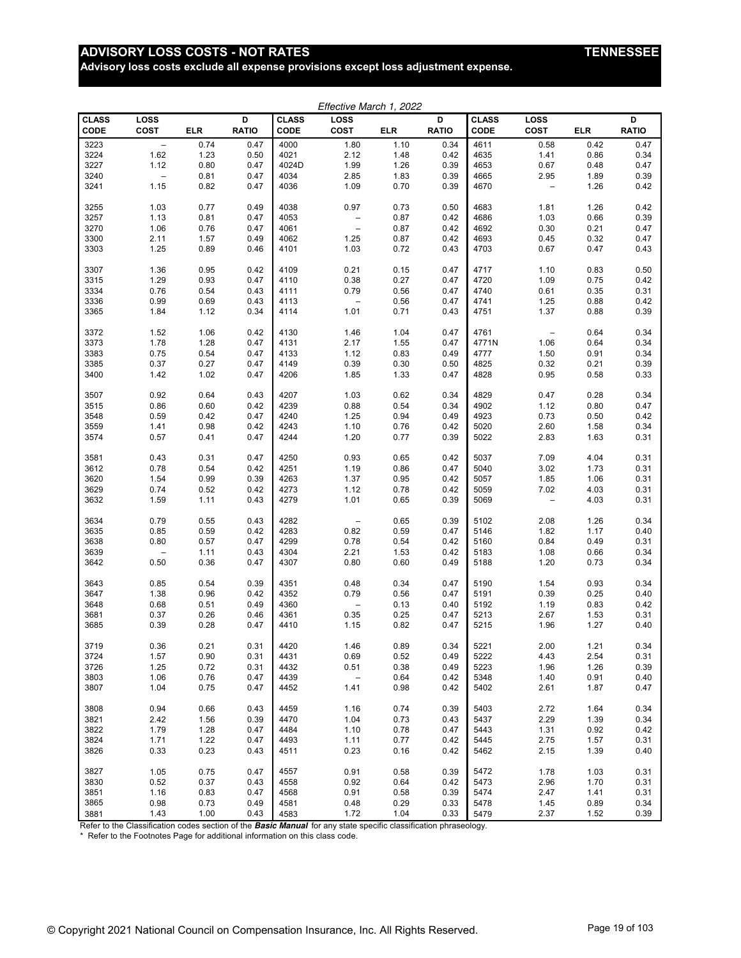# ADVISORY LOSS COSTS - NOT RATES **TENNESSEE**

**Advisory loss costs exclude all expense provisions except loss adjustment expense.**

| Effective March 1, 2022 |                          |            |              |              |                          |              |              |              |                          |              |              |
|-------------------------|--------------------------|------------|--------------|--------------|--------------------------|--------------|--------------|--------------|--------------------------|--------------|--------------|
| <b>CLASS</b>            | LOSS                     |            | D            | <b>CLASS</b> | <b>LOSS</b>              |              | D            | <b>CLASS</b> | <b>LOSS</b>              |              | D            |
| CODE                    | COST                     | <b>ELR</b> | <b>RATIO</b> | CODE         | COST                     | <b>ELR</b>   | <b>RATIO</b> | CODE         | <b>COST</b>              | <b>ELR</b>   | <b>RATIO</b> |
| 3223                    | $\overline{\phantom{a}}$ | 0.74       | 0.47         | 4000         | 1.80                     | 1.10         | 0.34         | 4611         | 0.58                     | 0.42         | 0.47         |
| 3224                    | 1.62                     | 1.23       | 0.50         | 4021         | 2.12                     | 1.48         | 0.42         | 4635         | 1.41                     | 0.86         | 0.34         |
| 3227                    | 1.12                     | 0.80       | 0.47         | 4024D        | 1.99                     | 1.26         | 0.39         | 4653         | 0.67                     | 0.48         | 0.47         |
| 3240                    | $\overline{\phantom{0}}$ | 0.81       | 0.47         | 4034         | 2.85                     | 1.83         | 0.39         | 4665         | 2.95                     | 1.89         | 0.39         |
| 3241                    | 1.15                     | 0.82       | 0.47         | 4036         | 1.09                     | 0.70         | 0.39         | 4670         | $\overline{\phantom{0}}$ | 1.26         | 0.42         |
| 3255                    | 1.03                     | 0.77       | 0.49         | 4038         | 0.97                     | 0.73         | 0.50         | 4683         | 1.81                     | 1.26         | 0.42         |
| 3257                    | 1.13                     | 0.81       | 0.47         | 4053         | $\overline{\phantom{a}}$ | 0.87         | 0.42         | 4686         | 1.03                     | 0.66         | 0.39         |
| 3270                    | 1.06                     | 0.76       | 0.47         | 4061         | $\overline{\phantom{a}}$ | 0.87         | 0.42         | 4692         | 0.30                     | 0.21         | 0.47         |
| 3300                    | 2.11                     | 1.57       | 0.49         | 4062         | 1.25                     | 0.87         | 0.42         | 4693         | 0.45                     | 0.32         | 0.47         |
| 3303                    | 1.25                     | 0.89       | 0.46         | 4101         | 1.03                     | 0.72         | 0.43         | 4703         | 0.67                     | 0.47         | 0.43         |
|                         |                          |            |              |              |                          |              |              |              |                          |              |              |
| 3307                    | 1.36                     | 0.95       | 0.42         | 4109         | 0.21                     | 0.15         | 0.47         | 4717         | 1.10                     | 0.83         | 0.50         |
| 3315                    | 1.29                     | 0.93       | 0.47         | 4110         | 0.38                     | 0.27         | 0.47         | 4720         | 1.09                     | 0.75         | 0.42         |
| 3334                    | 0.76                     | 0.54       | 0.43         | 4111         | 0.79                     | 0.56         | 0.47         | 4740         | 0.61                     | 0.35         | 0.31         |
| 3336                    | 0.99                     | 0.69       | 0.43         | 4113         | $\overline{\phantom{m}}$ | 0.56         | 0.47         | 4741         | 1.25                     | 0.88         | 0.42         |
| 3365                    | 1.84                     | 1.12       | 0.34         | 4114         | 1.01                     | 0.71         | 0.43         | 4751         | 1.37                     | 0.88         | 0.39         |
| 3372                    | 1.52                     | 1.06       | 0.42         | 4130         | 1.46                     | 1.04         | 0.47         | 4761         | $\qquad \qquad -$        | 0.64         | 0.34         |
| 3373                    | 1.78                     | 1.28       | 0.47         | 4131         | 2.17                     | 1.55         | 0.47         | 4771N        | 1.06                     | 0.64         | 0.34         |
| 3383                    | 0.75                     | 0.54       | 0.47         | 4133         | 1.12                     | 0.83         | 0.49         | 4777         | 1.50                     | 0.91         | 0.34         |
| 3385                    | 0.37                     | 0.27       | 0.47         | 4149         | 0.39                     | 0.30         | 0.50         | 4825         | 0.32                     | 0.21         | 0.39         |
| 3400                    | 1.42                     | 1.02       | 0.47         | 4206         | 1.85                     | 1.33         | 0.47         | 4828         | 0.95                     | 0.58         | 0.33         |
| 3507                    | 0.92                     | 0.64       | 0.43         | 4207         | 1.03                     | 0.62         | 0.34         | 4829         | 0.47                     | 0.28         | 0.34         |
| 3515                    | 0.86                     | 0.60       | 0.42         | 4239         | 0.88                     | 0.54         | 0.34         | 4902         | 1.12                     | 0.80         | 0.47         |
| 3548                    | 0.59                     | 0.42       | 0.47         | 4240         | 1.25                     | 0.94         | 0.49         | 4923         | 0.73                     | 0.50         | 0.42         |
| 3559                    | 1.41                     | 0.98       | 0.42         | 4243         | 1.10                     | 0.76         | 0.42         | 5020         | 2.60                     | 1.58         | 0.34         |
| 3574                    | 0.57                     | 0.41       | 0.47         | 4244         | 1.20                     | 0.77         | 0.39         | 5022         | 2.83                     | 1.63         | 0.31         |
|                         |                          |            |              |              |                          |              |              |              |                          |              |              |
| 3581                    | 0.43                     | 0.31       | 0.47         | 4250         | 0.93                     | 0.65         | 0.42         | 5037         | 7.09                     | 4.04         | 0.31         |
| 3612                    | 0.78                     | 0.54       | 0.42         | 4251         | 1.19                     | 0.86         | 0.47         | 5040         | 3.02                     | 1.73         | 0.31         |
| 3620                    | 1.54                     | 0.99       | 0.39         | 4263         | 1.37                     | 0.95         | 0.42         | 5057         | 1.85                     | 1.06         | 0.31         |
| 3629                    | 0.74                     | 0.52       | 0.42         | 4273         | 1.12                     | 0.78         | 0.42         | 5059         | 7.02                     | 4.03         | 0.31         |
| 3632                    | 1.59                     | 1.11       | 0.43         | 4279         | 1.01                     | 0.65         | 0.39         | 5069         | $\overline{a}$           | 4.03         | 0.31         |
| 3634                    | 0.79                     | 0.55       | 0.43         | 4282         | $\overline{\phantom{a}}$ | 0.65         | 0.39         | 5102         | 2.08                     | 1.26         | 0.34         |
| 3635                    | 0.85                     | 0.59       | 0.42         | 4283         | 0.82                     | 0.59         | 0.47         | 5146         | 1.82                     | 1.17         | 0.40         |
| 3638                    | 0.80                     | 0.57       | 0.47         | 4299         | 0.78                     | 0.54         | 0.42         | 5160         | 0.84                     | 0.49         | 0.31         |
| 3639                    | $\qquad \qquad -$        | 1.11       | 0.43         | 4304         | 2.21                     | 1.53         | 0.42         | 5183         | 1.08                     | 0.66         | 0.34         |
| 3642                    | 0.50                     | 0.36       | 0.47         | 4307         | 0.80                     | 0.60         | 0.49         | 5188         | 1.20                     | 0.73         | 0.34         |
| 3643                    | 0.85                     | 0.54       | 0.39         | 4351         | 0.48                     | 0.34         | 0.47         | 5190         | 1.54                     | 0.93         | 0.34         |
| 3647                    | 1.38                     | 0.96       | 0.42         | 4352         | 0.79                     | 0.56         | 0.47         | 5191         | 0.39                     | 0.25         | 0.40         |
| 3648                    | 0.68                     | 0.51       | 0.49         | 4360         | $\overline{\phantom{0}}$ | 0.13         | 0.40         | 5192         | 1.19                     | 0.83         | 0.42         |
| 3681                    | 0.37                     | 0.26       | 0.46         | 4361         | 0.35                     | 0.25         | 0.47         | 5213         | 2.67                     | 1.53         | 0.31         |
| 3685                    | 0.39                     | 0.28       | 0.47         | 4410         | 1.15                     | 0.82         | 0.47         | 5215         | 1.96                     | 1.27         | 0.40         |
|                         |                          | 0.21       |              | 4420         |                          |              |              | 5221         | 2.00                     |              |              |
| 3719<br>3724            | 0.36<br>1.57             | 0.90       | 0.31<br>0.31 | 4431         | 1.46<br>0.69             | 0.89<br>0.52 | 0.34<br>0.49 | 5222         | 4.43                     | 1.21<br>2.54 | 0.34<br>0.31 |
| 3726                    | 1.25                     | 0.72       | 0.31         | 4432         | 0.51                     | 0.38         | 0.49         | 5223         | 1.96                     | 1.26         | 0.39         |
| 3803                    | 1.06                     | 0.76       | 0.47         | 4439         | $\overline{\phantom{m}}$ | 0.64         | 0.42         | 5348         | 1.40                     | 0.91         | 0.40         |
| 3807                    | 1.04                     | 0.75       | 0.47         | 4452         | 1.41                     | 0.98         | 0.42         | 5402         | 2.61                     | 1.87         | 0.47         |
|                         |                          |            |              |              |                          |              |              |              |                          |              |              |
| 3808                    | 0.94                     | 0.66       | 0.43         | 4459         | 1.16                     | 0.74         | 0.39         | 5403         | 2.72                     | 1.64         | 0.34         |
| 3821                    | 2.42                     | 1.56       | 0.39         | 4470         | 1.04                     | 0.73         | 0.43         | 5437         | 2.29                     | 1.39         | 0.34         |
| 3822                    | 1.79                     | 1.28       | 0.47         | 4484         | 1.10                     | 0.78         | 0.47         | 5443         | 1.31                     | 0.92         | 0.42         |
| 3824                    | 1.71                     | 1.22       | 0.47         | 4493         | 1.11                     | 0.77         | 0.42         | 5445         | 2.75                     | 1.57         | 0.31         |
| 3826                    | 0.33                     | 0.23       | 0.43         | 4511         | 0.23                     | 0.16         | 0.42         | 5462         | 2.15                     | 1.39         | 0.40         |
| 3827                    | 1.05                     | 0.75       | 0.47         | 4557         | 0.91                     | 0.58         | 0.39         | 5472         | 1.78                     | 1.03         | 0.31         |
| 3830                    | 0.52                     | 0.37       | 0.43         | 4558         | 0.92                     | 0.64         | 0.42         | 5473         | 2.96                     | 1.70         | 0.31         |
| 3851                    | 1.16                     | 0.83       | 0.47         | 4568         | 0.91                     | 0.58         | 0.39         | 5474         | 2.47                     | 1.41         | 0.31         |
| 3865                    | 0.98                     | 0.73       | 0.49         | 4581         | 0.48                     | 0.29         | 0.33         | 5478         | 1.45                     | 0.89         | 0.34         |
| 3881                    | 1.43                     | 1.00       | 0.43         | 4583         | 1.72                     | 1.04         | 0.33         | 5479         | 2.37                     | 1.52         | 0.39         |

Refer to the Classification codes section of the **Basic Manual** for any state specific classification phraseology.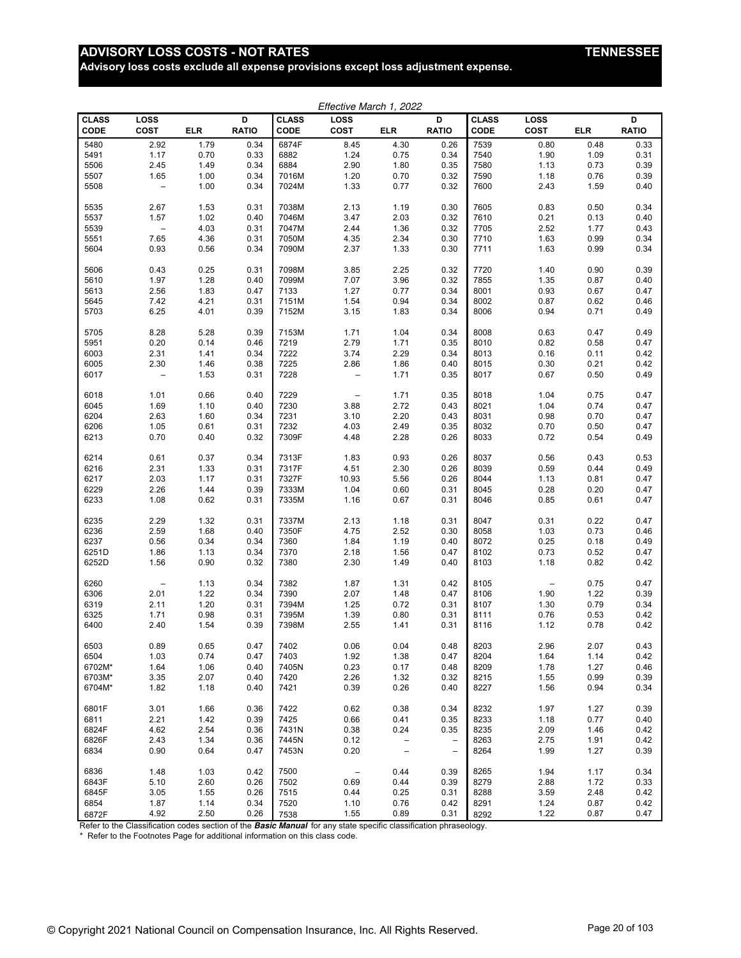# ADVISORY LOSS COSTS - NOT RATES **TENNESSEE**

**Advisory loss costs exclude all expense provisions except loss adjustment expense.**

| Effective March 1, 2022     |                            |            |                   |                             |                                 |                          |                          |                      |                     |            |                   |
|-----------------------------|----------------------------|------------|-------------------|-----------------------------|---------------------------------|--------------------------|--------------------------|----------------------|---------------------|------------|-------------------|
| <b>CLASS</b><br><b>CODE</b> | <b>LOSS</b><br><b>COST</b> | <b>ELR</b> | D<br><b>RATIO</b> | <b>CLASS</b><br><b>CODE</b> | LOSS<br><b>COST</b>             | <b>ELR</b>               | D<br><b>RATIO</b>        | <b>CLASS</b><br>CODE | LOSS<br><b>COST</b> | <b>ELR</b> | D<br><b>RATIO</b> |
| 5480                        | 2.92                       | 1.79       | 0.34              | 6874F                       | 8.45                            | 4.30                     | 0.26                     | 7539                 | 0.80                | 0.48       | 0.33              |
| 5491                        | 1.17                       | 0.70       | 0.33              | 6882                        | 1.24                            | 0.75                     | 0.34                     | 7540                 | 1.90                | 1.09       | 0.31              |
| 5506                        | 2.45                       | 1.49       | 0.34              | 6884                        | 2.90                            | 1.80                     | 0.35                     | 7580                 | 1.13                | 0.73       | 0.39              |
| 5507                        | 1.65                       | 1.00       | 0.34              | 7016M                       | 1.20                            | 0.70                     | 0.32                     | 7590                 | 1.18                | 0.76       | 0.39              |
| 5508                        | $\overline{\phantom{m}}$   | 1.00       | 0.34              | 7024M                       | 1.33                            | 0.77                     | 0.32                     | 7600                 | 2.43                | 1.59       | 0.40              |
| 5535                        | 2.67                       | 1.53       | 0.31              | 7038M                       | 2.13                            | 1.19                     | 0.30                     | 7605                 | 0.83                | 0.50       | 0.34              |
| 5537                        | 1.57                       | 1.02       | 0.40              | 7046M                       | 3.47                            | 2.03                     | 0.32                     | 7610                 | 0.21                | 0.13       | 0.40              |
| 5539                        | $\overline{\phantom{a}}$   | 4.03       | 0.31              | 7047M                       | 2.44                            | 1.36                     | 0.32                     | 7705                 | 2.52                | 1.77       | 0.43              |
| 5551                        | 7.65                       | 4.36       | 0.31              | 7050M                       | 4.35                            | 2.34                     | 0.30                     | 7710                 | 1.63                | 0.99       | 0.34              |
| 5604                        | 0.93                       | 0.56       | 0.34              | 7090M                       | 2.37                            | 1.33                     | 0.30                     | 7711                 | 1.63                | 0.99       | 0.34              |
| 5606                        | 0.43                       | 0.25       | 0.31              | 7098M                       | 3.85                            | 2.25                     | 0.32                     | 7720                 | 1.40                | 0.90       | 0.39              |
| 5610                        | 1.97                       | 1.28       | 0.40              | 7099M                       | 7.07                            | 3.96                     | 0.32                     | 7855                 | 1.35                | 0.87       | 0.40              |
| 5613                        | 2.56                       | 1.83       | 0.47              | 7133                        | 1.27                            | 0.77                     | 0.34                     | 8001                 | 0.93                | 0.67       | 0.47              |
| 5645                        | 7.42                       | 4.21       | 0.31              | 7151M                       | 1.54                            | 0.94                     | 0.34                     | 8002                 | 0.87                | 0.62       | 0.46              |
| 5703                        | 6.25                       | 4.01       | 0.39              | 7152M                       | 3.15                            | 1.83                     | 0.34                     | 8006                 | 0.94                | 0.71       | 0.49              |
|                             |                            |            |                   |                             |                                 |                          |                          |                      |                     |            |                   |
| 5705                        | 8.28                       | 5.28       | 0.39              | 7153M                       | 1.71                            | 1.04                     | 0.34                     | 8008                 | 0.63                | 0.47       | 0.49              |
| 5951                        | 0.20                       | 0.14       | 0.46              | 7219                        | 2.79                            | 1.71                     | 0.35                     | 8010                 | 0.82                | 0.58       | 0.47              |
| 6003                        | 2.31                       | 1.41       | 0.34              | 7222                        | 3.74                            | 2.29                     | 0.34                     | 8013                 | 0.16                | 0.11       | 0.42              |
| 6005                        | 2.30                       | 1.46       | 0.38              | 7225                        | 2.86                            | 1.86                     | 0.40                     | 8015                 | 0.30                | 0.21       | 0.42              |
| 6017                        | $\overline{\phantom{a}}$   | 1.53       | 0.31              | 7228                        | $\overline{a}$                  | 1.71                     | 0.35                     | 8017                 | 0.67                | 0.50       | 0.49              |
| 6018                        | 1.01                       | 0.66       | 0.40              | 7229                        | $\overline{\phantom{a}}$        | 1.71                     | 0.35                     | 8018                 | 1.04                | 0.75       | 0.47              |
| 6045                        | 1.69                       | 1.10       | 0.40              | 7230                        | 3.88                            | 2.72                     | 0.43                     | 8021                 | 1.04                | 0.74       | 0.47              |
| 6204                        | 2.63                       | 1.60       | 0.34              | 7231                        | 3.10                            | 2.20                     | 0.43                     | 8031                 | 0.98                | 0.70       | 0.47              |
| 6206                        | 1.05                       | 0.61       | 0.31              | 7232                        | 4.03                            | 2.49                     | 0.35                     | 8032                 | 0.70                | 0.50       | 0.47              |
| 6213                        | 0.70                       | 0.40       | 0.32              | 7309F                       | 4.48                            | 2.28                     | 0.26                     | 8033                 | 0.72                | 0.54       | 0.49              |
| 6214                        | 0.61                       | 0.37       | 0.34              | 7313F                       | 1.83                            | 0.93                     | 0.26                     | 8037                 | 0.56                | 0.43       | 0.53              |
| 6216                        | 2.31                       | 1.33       | 0.31              | 7317F                       | 4.51                            | 2.30                     | 0.26                     | 8039                 | 0.59                | 0.44       | 0.49              |
| 6217                        | 2.03                       | 1.17       | 0.31              | 7327F                       | 10.93                           | 5.56                     | 0.26                     | 8044                 | 1.13                | 0.81       | 0.47              |
| 6229                        | 2.26                       | 1.44       | 0.39              | 7333M                       | 1.04                            | 0.60                     | 0.31                     | 8045                 | 0.28                | 0.20       | 0.47              |
| 6233                        | 1.08                       | 0.62       | 0.31              | 7335M                       | 1.16                            | 0.67                     | 0.31                     | 8046                 | 0.85                | 0.61       | 0.47              |
| 6235                        | 2.29                       | 1.32       | 0.31              | 7337M                       | 2.13                            | 1.18                     | 0.31                     | 8047                 | 0.31                | 0.22       | 0.47              |
| 6236                        | 2.59                       | 1.68       | 0.40              | 7350F                       | 4.75                            | 2.52                     | 0.30                     | 8058                 | 1.03                | 0.73       | 0.46              |
| 6237                        | 0.56                       | 0.34       | 0.34              | 7360                        | 1.84                            | 1.19                     | 0.40                     | 8072                 | 0.25                | 0.18       | 0.49              |
| 6251D                       | 1.86                       | 1.13       | 0.34              | 7370                        | 2.18                            | 1.56                     | 0.47                     | 8102                 | 0.73                | 0.52       | 0.47              |
| 6252D                       | 1.56                       | 0.90       | 0.32              | 7380                        | 2.30                            | 1.49                     | 0.40                     | 8103                 | 1.18                | 0.82       | 0.42              |
| 6260                        | $\overline{\phantom{a}}$   | 1.13       | 0.34              | 7382                        | 1.87                            | 1.31                     | 0.42                     | 8105                 | $\qquad \qquad -$   | 0.75       | 0.47              |
| 6306                        | 2.01                       | 1.22       | 0.34              | 7390                        | 2.07                            | 1.48                     | 0.47                     | 8106                 | 1.90                | 1.22       | 0.39              |
| 6319                        | 2.11                       | 1.20       | 0.31              | 7394M                       | 1.25                            | 0.72                     | 0.31                     | 8107                 | 1.30                | 0.79       | 0.34              |
| 6325                        | 1.71                       | 0.98       | 0.31              | 7395M                       | 1.39                            | 0.80                     | 0.31                     | 8111                 | 0.76                | 0.53       | 0.42              |
| 6400                        | 2.40                       | 1.54       | 0.39              | 7398M                       | 2.55                            | 1.41                     | 0.31                     | 8116                 | 1.12                | 0.78       | 0.42              |
| 6503                        | 0.89                       | 0.65       | 0.47              | 7402                        | 0.06                            | 0.04                     | 0.48                     | 8203                 | 2.96                | 2.07       | 0.43              |
| 6504                        | 1.03                       | 0.74       | 0.47              | 7403                        | 1.92                            | 1.38                     | 0.47                     | 8204                 | 1.64                | 1.14       | 0.42              |
| 6702M*                      | 1.64                       | 1.06       | 0.40              | 7405N                       | 0.23                            | 0.17                     | 0.48                     | 8209                 | 1.78                | 1.27       | 0.46              |
| 6703M*                      | 3.35                       | 2.07       | 0.40              | 7420                        | 2.26                            | 1.32                     | 0.32                     | 8215                 | 1.55                | 0.99       | 0.39              |
| 6704M*                      | 1.82                       | 1.18       | 0.40              | 7421                        | 0.39                            | 0.26                     | 0.40                     | 8227                 | 1.56                | 0.94       | 0.34              |
| 6801F                       | 3.01                       | 1.66       | 0.36              | 7422                        | 0.62                            | 0.38                     | 0.34                     | 8232                 | 1.97                | 1.27       | 0.39              |
| 6811                        | 2.21                       | 1.42       | 0.39              | 7425                        | 0.66                            | 0.41                     | 0.35                     | 8233                 | 1.18                | 0.77       | 0.40              |
| 6824F                       | 4.62                       | 2.54       | 0.36              | 7431N                       | 0.38                            | 0.24                     | 0.35                     | 8235                 | 2.09                | 1.46       | 0.42              |
| 6826F                       | 2.43                       | 1.34       | 0.36              | 7445N                       | 0.12                            | $\qquad \qquad -$        | $\overline{\phantom{a}}$ | 8263                 | 2.75                | 1.91       | 0.42              |
| 6834                        | 0.90                       | 0.64       | 0.47              | 7453N                       | 0.20                            | $\overline{\phantom{a}}$ | $\overline{\phantom{a}}$ | 8264                 | 1.99                | 1.27       | 0.39              |
| 6836                        | 1.48                       | 1.03       | 0.42              | 7500                        | $\hspace{0.1mm}-\hspace{0.1mm}$ | 0.44                     | 0.39                     | 8265                 | 1.94                | 1.17       | 0.34              |
| 6843F                       | 5.10                       | 2.60       | 0.26              | 7502                        | 0.69                            | 0.44                     | 0.39                     | 8279                 | 2.88                | 1.72       | 0.33              |
| 6845F                       | 3.05                       | 1.55       | 0.26              | 7515                        | 0.44                            | 0.25                     | 0.31                     | 8288                 | 3.59                | 2.48       | 0.42              |
| 6854                        | 1.87                       | 1.14       | 0.34              | 7520                        | 1.10                            | 0.76                     | 0.42                     | 8291                 | 1.24                | 0.87       | 0.42              |
| 6872F                       | 4.92                       | 2.50       | 0.26              | 7538                        | 1.55                            | 0.89                     | 0.31                     | 8292                 | 1.22                | 0.87       | 0.47              |

Refer to the Classification codes section of the **Basic Manual** for any state specific classification phraseology.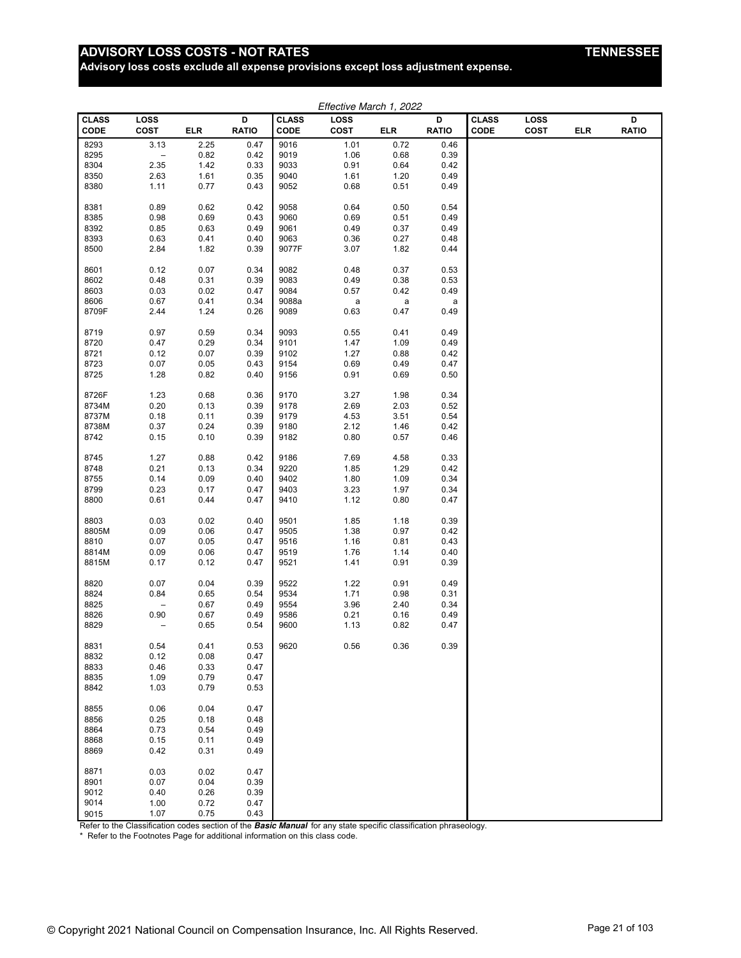# **ADVISORY LOSS COSTS - NOT RATES**

**Advisory loss costs exclude all expense provisions except loss adjustment expense.**

| <b>ENNE</b><br>7SSI. |
|----------------------|
|----------------------|

|               |                            |            |                   |                      | Effective March 1, 2022 |             |                   |                      |                     |     |                   |
|---------------|----------------------------|------------|-------------------|----------------------|-------------------------|-------------|-------------------|----------------------|---------------------|-----|-------------------|
| CLASS<br>CODE | <b>LOSS</b><br><b>COST</b> | <b>ELR</b> | D<br><b>RATIO</b> | <b>CLASS</b><br>CODE | LOSS<br>COST            | ELR         | D<br><b>RATIO</b> | <b>CLASS</b><br>CODE | LOSS<br><b>COST</b> | ELR | D<br><b>RATIO</b> |
| 8293          | 3.13                       | 2.25       | 0.47              | 9016                 | 1.01                    | 0.72        | 0.46              |                      |                     |     |                   |
| 8295          | $\overline{\phantom{a}}$   | 0.82       | 0.42              | 9019                 | 1.06                    | 0.68        | 0.39              |                      |                     |     |                   |
| 8304          | 2.35                       | 1.42       | 0.33              | 9033                 | 0.91                    | 0.64        | 0.42              |                      |                     |     |                   |
| 8350          | 2.63                       | 1.61       | 0.35              | 9040                 | 1.61                    | 1.20        | 0.49              |                      |                     |     |                   |
| 8380          | 1.11                       | 0.77       | 0.43              | 9052                 | 0.68                    | 0.51        | 0.49              |                      |                     |     |                   |
|               |                            |            |                   |                      |                         |             |                   |                      |                     |     |                   |
| 8381          | 0.89                       | 0.62       | 0.42              | 9058                 | 0.64                    | 0.50        | 0.54              |                      |                     |     |                   |
| 8385          | 0.98                       | 0.69       | 0.43              | 9060                 | 0.69                    | 0.51        | 0.49              |                      |                     |     |                   |
| 8392          | 0.85                       | 0.63       | 0.49              | 9061                 | 0.49                    | 0.37        | 0.49              |                      |                     |     |                   |
| 8393          | 0.63                       | 0.41       | 0.40              | 9063                 | 0.36                    | 0.27        | 0.48              |                      |                     |     |                   |
| 8500          | 2.84                       | 1.82       | 0.39              | 9077F                | 3.07                    | 1.82        | 0.44              |                      |                     |     |                   |
| 8601          | 0.12                       | 0.07       | 0.34              | 9082                 | 0.48                    | 0.37        | 0.53              |                      |                     |     |                   |
| 8602          | 0.48                       | 0.31       | 0.39              | 9083                 | 0.49                    | 0.38        | 0.53              |                      |                     |     |                   |
| 8603          | 0.03                       | 0.02       | 0.47              | 9084                 | 0.57                    | 0.42        | 0.49              |                      |                     |     |                   |
| 8606          | 0.67                       | 0.41       | 0.34              | 9088a                | a                       | $\mathsf a$ | a                 |                      |                     |     |                   |
| 8709F         | 2.44                       | 1.24       | 0.26              | 9089                 | 0.63                    | 0.47        | 0.49              |                      |                     |     |                   |
|               |                            |            |                   |                      |                         |             |                   |                      |                     |     |                   |
| 8719          | 0.97                       | 0.59       | 0.34              | 9093                 | 0.55                    | 0.41        | 0.49              |                      |                     |     |                   |
| 8720          | 0.47                       | 0.29       | 0.34              | 9101                 | 1.47                    | 1.09        | 0.49              |                      |                     |     |                   |
| 8721          | 0.12                       | 0.07       | 0.39              | 9102                 | 1.27                    | 0.88        | 0.42              |                      |                     |     |                   |
| 8723          | 0.07                       | 0.05       | 0.43              | 9154                 | 0.69                    | 0.49        | 0.47              |                      |                     |     |                   |
| 8725          | 1.28                       | 0.82       | 0.40              | 9156                 | 0.91                    | 0.69        | 0.50              |                      |                     |     |                   |
| 8726F         | 1.23                       | 0.68       | 0.36              | 9170                 | 3.27                    | 1.98        | 0.34              |                      |                     |     |                   |
| 8734M         | 0.20                       | 0.13       | 0.39              | 9178                 | 2.69                    | 2.03        | 0.52              |                      |                     |     |                   |
| 8737M         | 0.18                       | 0.11       | 0.39              | 9179                 | 4.53                    | 3.51        | 0.54              |                      |                     |     |                   |
| 8738M         | 0.37                       | 0.24       | 0.39              | 9180                 | 2.12                    | 1.46        | 0.42              |                      |                     |     |                   |
| 8742          | 0.15                       | 0.10       | 0.39              | 9182                 | 0.80                    | 0.57        | 0.46              |                      |                     |     |                   |
|               |                            |            |                   |                      |                         |             |                   |                      |                     |     |                   |
| 8745          | 1.27                       | 0.88       | 0.42              | 9186                 | 7.69                    | 4.58        | 0.33              |                      |                     |     |                   |
| 8748          | 0.21                       | 0.13       | 0.34              | 9220                 | 1.85                    | 1.29        | 0.42              |                      |                     |     |                   |
| 8755          | 0.14                       | 0.09       | 0.40              | 9402                 | 1.80                    | 1.09        | 0.34              |                      |                     |     |                   |
| 8799          | 0.23                       | 0.17       | 0.47              | 9403                 | 3.23                    | 1.97        | 0.34              |                      |                     |     |                   |
| 8800          | 0.61                       | 0.44       | 0.47              | 9410                 | 1.12                    | 0.80        | 0.47              |                      |                     |     |                   |
| 8803          | 0.03                       | 0.02       | 0.40              | 9501                 | 1.85                    | 1.18        | 0.39              |                      |                     |     |                   |
| 8805M         | 0.09                       | 0.06       | 0.47              | 9505                 | 1.38                    | 0.97        | 0.42              |                      |                     |     |                   |
| 8810          | 0.07                       | 0.05       | 0.47              | 9516                 | 1.16                    | 0.81        | 0.43              |                      |                     |     |                   |
| 8814M         | 0.09                       | 0.06       | 0.47              | 9519                 | 1.76                    | 1.14        | 0.40              |                      |                     |     |                   |
| 8815M         | 0.17                       | 0.12       | 0.47              | 9521                 | 1.41                    | 0.91        | 0.39              |                      |                     |     |                   |
| 8820          | 0.07                       | 0.04       | 0.39              | 9522                 | 1.22                    | 0.91        | 0.49              |                      |                     |     |                   |
| 8824          | 0.84                       | 0.65       | 0.54              | 9534                 | 1.71                    | 0.98        | 0.31              |                      |                     |     |                   |
| 8825          | $\overline{\phantom{m}}$   | 0.67       | 0.49              | 9554                 | 3.96                    | 2.40        | 0.34              |                      |                     |     |                   |
| 8826          | 0.90                       | 0.67       | 0.49              | 9586                 | 0.21                    | 0.16        | 0.49              |                      |                     |     |                   |
| 8829          |                            | 0.65       | 0.54              | 9600                 | 1.13                    | 0.82        | 0.47              |                      |                     |     |                   |
|               |                            |            |                   |                      |                         |             |                   |                      |                     |     |                   |
| 8831          | 0.54                       | 0.41       | 0.53              | 9620                 | 0.56                    | 0.36        | 0.39              |                      |                     |     |                   |
| 8832          | 0.12                       | 0.08       | 0.47              |                      |                         |             |                   |                      |                     |     |                   |
| 8833          | 0.46                       | 0.33       | 0.47              |                      |                         |             |                   |                      |                     |     |                   |
| 8835          | 1.09                       | 0.79       | 0.47              |                      |                         |             |                   |                      |                     |     |                   |
| 8842          | 1.03                       | 0.79       | 0.53              |                      |                         |             |                   |                      |                     |     |                   |
| 8855          | 0.06                       | 0.04       | 0.47              |                      |                         |             |                   |                      |                     |     |                   |
| 8856          | 0.25                       | 0.18       | 0.48              |                      |                         |             |                   |                      |                     |     |                   |
| 8864          | 0.73                       | 0.54       | 0.49              |                      |                         |             |                   |                      |                     |     |                   |
| 8868          | 0.15                       | 0.11       | 0.49              |                      |                         |             |                   |                      |                     |     |                   |
| 8869          | 0.42                       | 0.31       | 0.49              |                      |                         |             |                   |                      |                     |     |                   |
|               |                            |            |                   |                      |                         |             |                   |                      |                     |     |                   |
| 8871          | 0.03                       | 0.02       | 0.47              |                      |                         |             |                   |                      |                     |     |                   |
| 8901          | 0.07                       | 0.04       | 0.39              |                      |                         |             |                   |                      |                     |     |                   |
| 9012          | 0.40                       | 0.26       | 0.39              |                      |                         |             |                   |                      |                     |     |                   |
| 9014          | 1.00                       | 0.72       | 0.47              |                      |                         |             |                   |                      |                     |     |                   |
| 9015          | 1.07                       | 0.75       | 0.43              |                      |                         |             |                   |                      |                     |     |                   |

Refer to the Classification codes section of the **Basic Manual** for any state specific classification phraseology.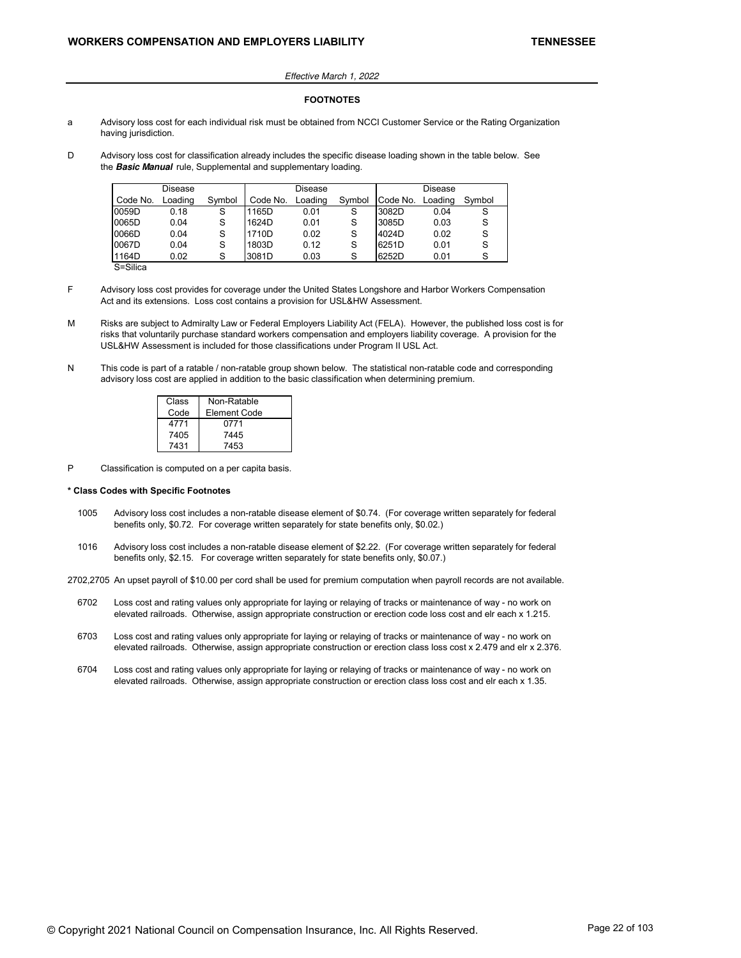### Effective March 1, 2022

#### **FOOTNOTES**

- a Advisory loss cost for each individual risk must be obtained from NCCI Customer Service or the Rating Organization having jurisdiction.
- D Advisory loss cost for classification already includes the specific disease loading shown in the table below. See the **Basic Manual** rule, Supplemental and supplementary loading.

|          | Disease |        |          | Disease |        |          | Disease |        |
|----------|---------|--------|----------|---------|--------|----------|---------|--------|
| Code No. | Loading | Symbol | Code No. | Loading | Symbol | Code No. | Loading | Symbol |
| 0059D    | 0.18    | S      | 1165D    | 0.01    | S      | 3082D    | 0.04    |        |
| 0065D    | 0.04    | S      | 1624D    | 0.01    | S      | 3085D    | 0.03    | S      |
| 0066D    | 0.04    | S      | 1710D    | 0.02    | S      | 4024D    | 0.02    | S      |
| 0067D    | 0.04    | S      | 1803D    | 0.12    | S      | 6251D    | 0.01    | S      |
| 1164D    | 0.02    | S      | 3081D    | 0.03    | S      | 6252D    | 0.01    |        |
|          |         |        |          |         |        |          |         |        |

S=Silica

- F Advisory loss cost provides for coverage under the United States Longshore and Harbor Workers Compensation Act and its extensions. Loss cost contains a provision for USL&HW Assessment.
- M Risks are subject to Admiralty Law or Federal Employers Liability Act (FELA). However, the published loss cost is for risks that voluntarily purchase standard workers compensation and employers liability coverage. A provision for the USL&HW Assessment is included for those classifications under Program II USL Act.
- N This code is part of a ratable / non-ratable group shown below. The statistical non-ratable code and corresponding advisory loss cost are applied in addition to the basic classification when determining premium.

| Class | Non-Ratable  |
|-------|--------------|
| Code  | Element Code |
| 4771  | 0771         |
| 7405  | 7445         |
| 7431  | 7453         |

P Classification is computed on a per capita basis.

### **\* Class Codes with Specific Footnotes**

- 1005 Advisory loss cost includes a non-ratable disease element of \$0.74. (For coverage written separately for federal benefits only, \$0.72. For coverage written separately for state benefits only, \$0.02.)
- 1016 Advisory loss cost includes a non-ratable disease element of \$2.22. (For coverage written separately for federal benefits only, \$2.15. For coverage written separately for state benefits only, \$0.07.)

2702,2705 An upset payroll of \$10.00 per cord shall be used for premium computation when payroll records are not available.

- 6702 Loss cost and rating values only appropriate for laying or relaying of tracks or maintenance of way no work on elevated railroads. Otherwise, assign appropriate construction or erection code loss cost and elr each x 1.215.
- 6703 Loss cost and rating values only appropriate for laying or relaying of tracks or maintenance of way no work on elevated railroads. Otherwise, assign appropriate construction or erection class loss cost x 2.479 and elr x 2.376.
- 6704 Loss cost and rating values only appropriate for laying or relaying of tracks or maintenance of way no work on elevated railroads. Otherwise, assign appropriate construction or erection class loss cost and elr each x 1.35.